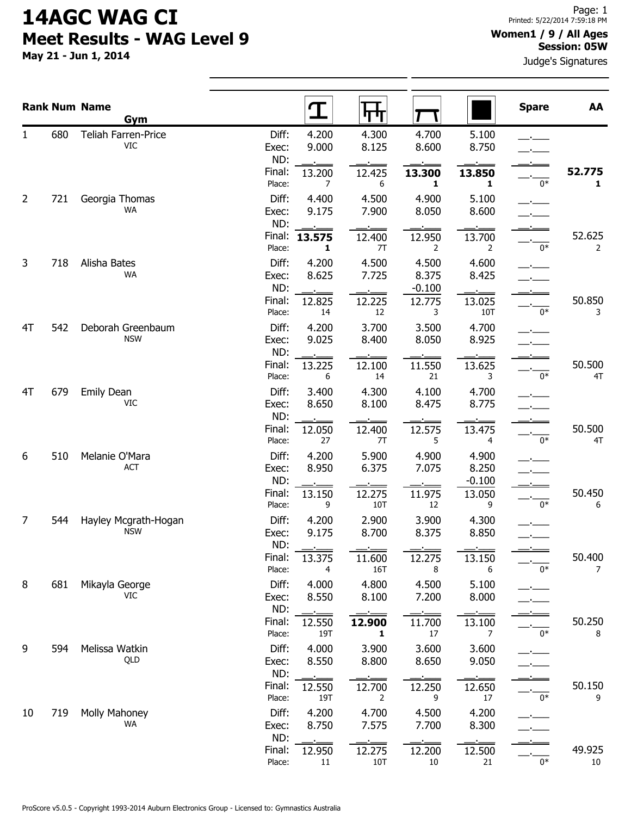May 21 - Jun 1, 2014

#### Women1 / 9 / All Ages Session: 05W

Judge's Signatures

|                |     | <b>Rank Num Name</b><br>Gym        |                       | 工              | ΤЧ             |                            |                            | <b>Spare</b> | AA           |
|----------------|-----|------------------------------------|-----------------------|----------------|----------------|----------------------------|----------------------------|--------------|--------------|
| 1              | 680 | Teliah Farren-Price<br>VIC         | Diff:<br>Exec:<br>ND: | 4.200<br>9.000 | 4.300<br>8.125 | 4.700<br>8.600             | 5.100<br>8.750             |              |              |
|                |     |                                    | Final:<br>Place:      | 13.200<br>7    | 12.425<br>6    | 13.300<br>1                | 13.850<br>$\mathbf{1}$     | $0*$         | 52.775<br>1  |
| $\overline{2}$ | 721 | Georgia Thomas<br>WA               | Diff:<br>Exec:<br>ND: | 4.400<br>9.175 | 4.500<br>7.900 | 4.900<br>8.050             | 5.100<br>8.600             |              |              |
|                |     |                                    | Final:<br>Place:      | 13.575<br>1    | 12.400<br>7T   | 12.950<br>2                | 13.700<br>2                | $0*$         | 52.625<br>2  |
| 3              | 718 | Alisha Bates<br><b>WA</b>          | Diff:<br>Exec:<br>ND: | 4.200<br>8.625 | 4.500<br>7.725 | 4.500<br>8.375<br>$-0.100$ | 4.600<br>8.425             |              |              |
|                |     |                                    | Final:<br>Place:      | 12.825<br>14   | 12.225<br>12   | 12.775<br>3                | 13.025<br>10T              | $0*$         | 50.850<br>3  |
| 4T             | 542 | Deborah Greenbaum<br><b>NSW</b>    | Diff:<br>Exec:<br>ND: | 4.200<br>9.025 | 3.700<br>8.400 | 3.500<br>8.050             | 4.700<br>8.925             |              |              |
|                |     |                                    | Final:<br>Place:      | 13.225<br>6    | 12.100<br>14   | 11.550<br>21               | 13.625<br>3                | $0*$         | 50.500<br>4T |
| 4T             | 679 | <b>Emily Dean</b><br>VIC           | Diff:<br>Exec:<br>ND: | 3.400<br>8.650 | 4.300<br>8.100 | 4.100<br>8.475             | 4.700<br>8.775             |              |              |
|                |     |                                    | Final:<br>Place:      | 12.050<br>27   | 12.400<br>7T   | 12.575<br>5                | 13.475<br>4                | 0*           | 50.500<br>4T |
| 6              | 510 | Melanie O'Mara<br><b>ACT</b>       | Diff:<br>Exec:<br>ND: | 4.200<br>8.950 | 5.900<br>6.375 | 4.900<br>7.075             | 4.900<br>8.250<br>$-0.100$ |              |              |
|                |     |                                    | Final:<br>Place:      | 13.150<br>9    | 12.275<br>10T  | 11.975<br>12               | 13.050<br>9                | $0*$         | 50.450<br>6  |
| $\overline{7}$ | 544 | Hayley Mcgrath-Hogan<br><b>NSW</b> | Diff:<br>Exec:<br>ND: | 4.200<br>9.175 | 2.900<br>8.700 | 3.900<br>8.375             | 4.300<br>8.850             |              |              |
|                |     |                                    | Final:<br>Place:      | 13.375<br>4    | 11.600<br>16T  | 12.275<br>8                | 13.150<br>6                | 0*           | 50.400<br>7  |
| 8              | 681 | Mikayla George<br>VIC.             | Diff:<br>Exec:<br>ND: | 4.000<br>8.550 | 4.800<br>8.100 | 4.500<br>7.200             | 5.100<br>8.000             |              |              |
|                |     |                                    | Final:<br>Place:      | 12.550<br>19T  | 12.900<br>1    | 11.700<br>17               | 13.100<br>7                | $0*$         | 50.250<br>8  |
| 9              | 594 | Melissa Watkin<br>QLD              | Diff:<br>Exec:<br>ND: | 4.000<br>8.550 | 3.900<br>8.800 | 3.600<br>8.650             | 3.600<br>9.050             |              |              |
|                |     |                                    | Final:<br>Place:      | 12.550<br>19T  | 12.700<br>2    | 12.250<br>9                | 12.650<br>17               | 0*           | 50.150<br>9  |
| 10             | 719 | Molly Mahoney<br>WA                | Diff:<br>Exec:<br>ND: | 4.200<br>8.750 | 4.700<br>7.575 | 4.500<br>7.700             | 4.200<br>8.300             |              |              |
|                |     |                                    | Final:<br>Place:      | 12.950<br>11   | 12.275<br>10T  | 12.200<br>$10\,$           | 12.500<br>21               | $0*$         | 49.925<br>10 |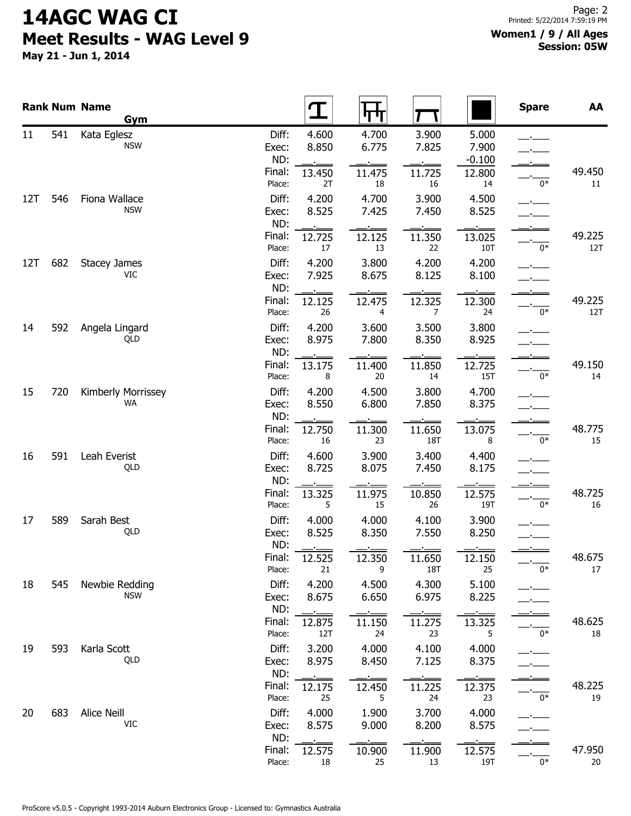May 21 - Jun 1, 2014

|     |     | <b>Rank Num Name</b><br>Gym     |                       |                | <b>ТТ</b>        |                |                            | <b>Spare</b> | AA            |
|-----|-----|---------------------------------|-----------------------|----------------|------------------|----------------|----------------------------|--------------|---------------|
| 11  | 541 | Kata Eglesz<br><b>NSW</b>       | Diff:<br>Exec:<br>ND: | 4.600<br>8.850 | 4.700<br>6.775   | 3.900<br>7.825 | 5.000<br>7.900<br>$-0.100$ |              |               |
|     |     |                                 | Final:<br>Place:      | 13.450<br>2T   | 11.475<br>18     | 11.725<br>16   | 12.800<br>14               | $0*$         | 49.450<br>11  |
| 12T | 546 | Fiona Wallace<br><b>NSW</b>     | Diff:<br>Exec:<br>ND: | 4.200<br>8.525 | 4.700<br>7.425   | 3.900<br>7.450 | 4.500<br>8.525             |              |               |
|     |     |                                 | Final:<br>Place:      | 12.725<br>17   | 12.125<br>13     | 11.350<br>22   | 13.025<br>10T              | 0*           | 49.225<br>12T |
| 12T | 682 | <b>Stacey James</b><br>VIC      | Diff:<br>Exec:<br>ND: | 4.200<br>7.925 | 3.800<br>8.675   | 4.200<br>8.125 | 4.200<br>8.100             |              |               |
|     |     |                                 | Final:<br>Place:      | 12.125<br>26   | 12.475<br>4      | 12.325<br>7    | 12.300<br>24               | $0*$         | 49.225<br>12T |
| 14  | 592 | Angela Lingard<br>QLD           | Diff:<br>Exec:<br>ND: | 4.200<br>8.975 | 3.600<br>7.800   | 3.500<br>8.350 | 3.800<br>8.925             |              |               |
|     |     |                                 | Final:<br>Place:      | 13.175<br>8    | 11.400<br>$20\,$ | 11.850<br>14   | 12.725<br><b>15T</b>       | 0*           | 49.150<br>14  |
| 15  | 720 | Kimberly Morrissey<br><b>WA</b> | Diff:<br>Exec:<br>ND: | 4.200<br>8.550 | 4.500<br>6.800   | 3.800<br>7.850 | 4.700<br>8.375             |              |               |
|     |     |                                 | Final:<br>Place:      | 12.750<br>16   | 11.300<br>23     | 11.650<br>18T  | 13.075<br>8                | $0*$         | 48.775<br>15  |
| 16  | 591 | Leah Everist<br>QLD             | Diff:<br>Exec:<br>ND: | 4.600<br>8.725 | 3.900<br>8.075   | 3.400<br>7.450 | 4.400<br>8.175             |              |               |
|     |     |                                 | Final:<br>Place:      | 13.325<br>5    | 11.975<br>15     | 10.850<br>26   | 12.575<br>19T              | 0*           | 48.725<br>16  |
| 17  | 589 | Sarah Best<br>QLD               | Diff:<br>Exec:<br>ND: | 4.000<br>8.525 | 4.000<br>8.350   | 4.100<br>7.550 | 3.900<br>8.250             |              |               |
|     |     |                                 | Final:<br>Place:      | 12.525<br>21   | 12.350<br>9      | 11.650<br>18T  | 12.150<br>25               | $0*$         | 48.675<br>17  |
| 18  | 545 | Newbie Redding<br><b>NSW</b>    | Diff:<br>Exec:<br>ND: | 4.200<br>8.675 | 4.500<br>6.650   | 4.300<br>6.975 | 5.100<br>8.225             |              |               |
|     |     |                                 | Final:<br>Place:      | 12.875<br>12T  | 11.150<br>24     | 11.275<br>23   | 13.325<br>5                | $0*$         | 48.625<br>18  |
| 19  | 593 | Karla Scott<br>QLD              | Diff:<br>Exec:<br>ND: | 3.200<br>8.975 | 4.000<br>8.450   | 4.100<br>7.125 | 4.000<br>8.375             |              |               |
|     |     |                                 | Final:<br>Place:      | 12.175<br>25   | 12.450<br>5      | 11.225<br>24   | 12.375<br>23               | 0*           | 48.225<br>19  |
| 20  | 683 | Alice Neill<br>VIC              | Diff:<br>Exec:<br>ND: | 4.000<br>8.575 | 1.900<br>9.000   | 3.700<br>8.200 | 4.000<br>8.575             |              |               |
|     |     |                                 | Final:<br>Place:      | 12.575<br>18   | 10.900<br>25     | 11.900<br>13   | 12.575<br>19T              | $0*$         | 47.950<br>20  |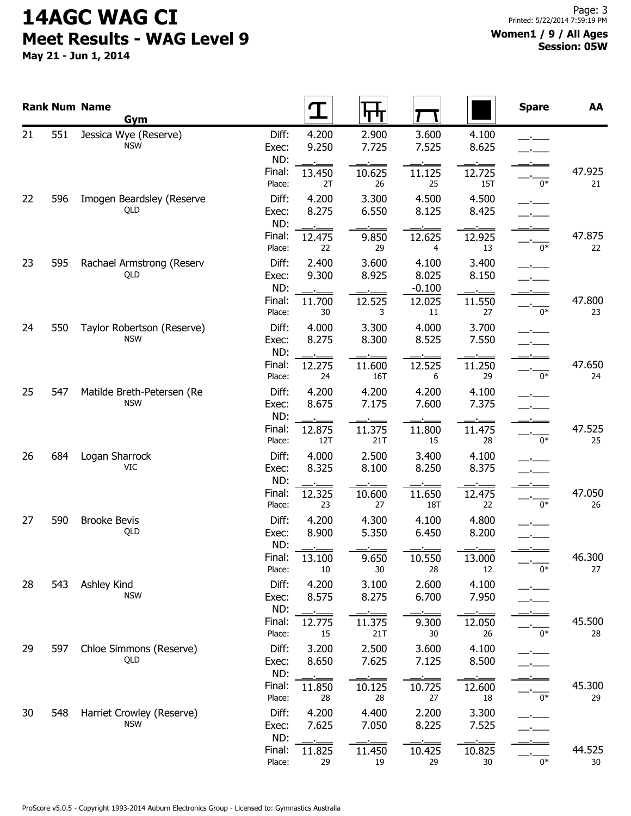May 21 - Jun 1, 2014

|    |     | <b>Rank Num Name</b><br>Gym              |                       |                | पा             |                            |                      | <b>Spare</b> | AA           |
|----|-----|------------------------------------------|-----------------------|----------------|----------------|----------------------------|----------------------|--------------|--------------|
| 21 | 551 | Jessica Wye (Reserve)<br><b>NSW</b>      | Diff:<br>Exec:<br>ND: | 4.200<br>9.250 | 2.900<br>7.725 | 3.600<br>7.525             | 4.100<br>8.625       |              |              |
|    |     |                                          | Final:<br>Place:      | 13.450<br>2T   | 10.625<br>26   | 11.125<br>25               | 12.725<br><b>15T</b> | 0*           | 47.925<br>21 |
| 22 | 596 | Imogen Beardsley (Reserve<br>QLD         | Diff:<br>Exec:<br>ND: | 4.200<br>8.275 | 3.300<br>6.550 | 4.500<br>8.125             | 4.500<br>8.425       |              |              |
|    |     |                                          | Final:<br>Place:      | 12.475<br>22   | 9.850<br>29    | 12.625<br>4                | 12.925<br>13         | 0*           | 47.875<br>22 |
| 23 | 595 | Rachael Armstrong (Reserv<br>QLD         | Diff:<br>Exec:<br>ND: | 2.400<br>9.300 | 3.600<br>8.925 | 4.100<br>8.025<br>$-0.100$ | 3.400<br>8.150       |              |              |
|    |     |                                          | Final:<br>Place:      | 11.700<br>30   | 12.525<br>3    | 12.025<br>11               | 11.550<br>27         | 0*           | 47.800<br>23 |
| 24 | 550 | Taylor Robertson (Reserve)<br><b>NSW</b> | Diff:<br>Exec:<br>ND: | 4.000<br>8.275 | 3.300<br>8.300 | 4.000<br>8.525             | 3.700<br>7.550       |              |              |
|    |     |                                          | Final:<br>Place:      | 12.275<br>24   | 11.600<br>16T  | 12.525<br>6                | 11.250<br>29         | 0*           | 47.650<br>24 |
| 25 | 547 | Matilde Breth-Petersen (Re<br><b>NSW</b> | Diff:<br>Exec:<br>ND: | 4.200<br>8.675 | 4.200<br>7.175 | 4.200<br>7.600             | 4.100<br>7.375       |              |              |
|    |     |                                          | Final:<br>Place:      | 12.875<br>12T  | 11.375<br>21T  | 11.800<br>15               | 11.475<br>28         | $0*$         | 47.525<br>25 |
| 26 | 684 | Logan Sharrock<br>VIC                    | Diff:<br>Exec:<br>ND: | 4.000<br>8.325 | 2.500<br>8.100 | 3.400<br>8.250             | 4.100<br>8.375       |              |              |
|    |     |                                          | Final:<br>Place:      | 12.325<br>23   | 10.600<br>27   | 11.650<br>18T              | 12.475<br>22         | 0*           | 47.050<br>26 |
| 27 | 590 | <b>Brooke Bevis</b><br>QLD               | Diff:<br>Exec:<br>ND: | 4.200<br>8.900 | 4.300<br>5.350 | 4.100<br>6.450             | 4.800<br>8.200       |              |              |
|    |     |                                          | Final:<br>Place:      | 13.100<br>10   | 9.650<br>30    | 10.550<br>28               | 13.000<br>12         | $0*$         | 46.300<br>27 |
| 28 | 543 | Ashley Kind<br><b>NSW</b>                | Diff:<br>Exec:<br>ND: | 4.200<br>8.575 | 3.100<br>8.275 | 2.600<br>6.700             | 4.100<br>7.950       |              |              |
|    |     |                                          | Final:<br>Place:      | 12.775<br>15   | 11.375<br>21T  | 9.300<br>$30\,$            | 12.050<br>26         | 0*           | 45.500<br>28 |
| 29 | 597 | Chloe Simmons (Reserve)<br>QLD           | Diff:<br>Exec:<br>ND: | 3.200<br>8.650 | 2.500<br>7.625 | 3.600<br>7.125             | 4.100<br>8.500       |              |              |
|    |     |                                          | Final:<br>Place:      | 11.850<br>28   | 10.125<br>28   | 10.725<br>27               | 12.600<br>18         | 0*           | 45.300<br>29 |
| 30 | 548 | Harriet Crowley (Reserve)<br><b>NSW</b>  | Diff:<br>Exec:<br>ND: | 4.200<br>7.625 | 4.400<br>7.050 | 2.200<br>8.225             | 3.300<br>7.525       |              |              |
|    |     |                                          | Final:<br>Place:      | 11.825<br>29   | 11.450<br>19   | 10.425<br>29               | 10.825<br>30         | $0*$         | 44.525<br>30 |